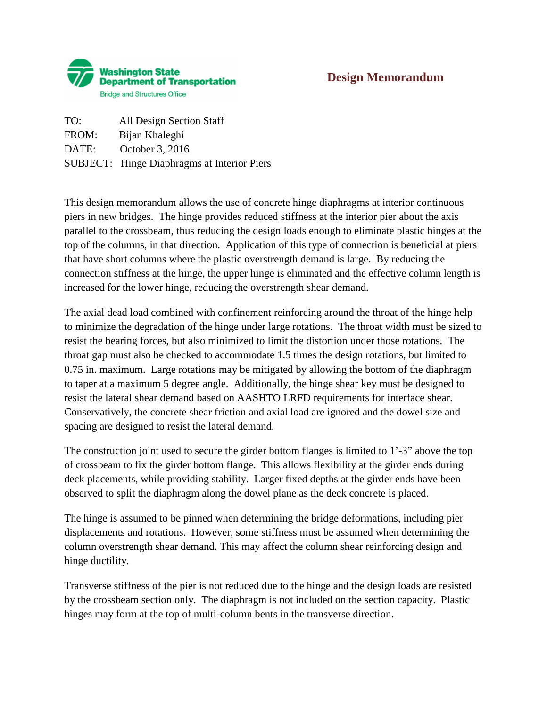

## **Design Memorandum**

TO: All Design Section Staff FROM: Bijan Khaleghi DATE: October 3, 2016 SUBJECT: Hinge Diaphragms at Interior Piers

This design memorandum allows the use of concrete hinge diaphragms at interior continuous piers in new bridges. The hinge provides reduced stiffness at the interior pier about the axis parallel to the crossbeam, thus reducing the design loads enough to eliminate plastic hinges at the top of the columns, in that direction. Application of this type of connection is beneficial at piers that have short columns where the plastic overstrength demand is large. By reducing the connection stiffness at the hinge, the upper hinge is eliminated and the effective column length is increased for the lower hinge, reducing the overstrength shear demand.

The axial dead load combined with confinement reinforcing around the throat of the hinge help to minimize the degradation of the hinge under large rotations. The throat width must be sized to resist the bearing forces, but also minimized to limit the distortion under those rotations. The throat gap must also be checked to accommodate 1.5 times the design rotations, but limited to 0.75 in. maximum. Large rotations may be mitigated by allowing the bottom of the diaphragm to taper at a maximum 5 degree angle. Additionally, the hinge shear key must be designed to resist the lateral shear demand based on AASHTO LRFD requirements for interface shear. Conservatively, the concrete shear friction and axial load are ignored and the dowel size and spacing are designed to resist the lateral demand.

The construction joint used to secure the girder bottom flanges is limited to 1'-3" above the top of crossbeam to fix the girder bottom flange. This allows flexibility at the girder ends during deck placements, while providing stability. Larger fixed depths at the girder ends have been observed to split the diaphragm along the dowel plane as the deck concrete is placed.

The hinge is assumed to be pinned when determining the bridge deformations, including pier displacements and rotations. However, some stiffness must be assumed when determining the column overstrength shear demand. This may affect the column shear reinforcing design and hinge ductility.

Transverse stiffness of the pier is not reduced due to the hinge and the design loads are resisted by the crossbeam section only. The diaphragm is not included on the section capacity. Plastic hinges may form at the top of multi-column bents in the transverse direction.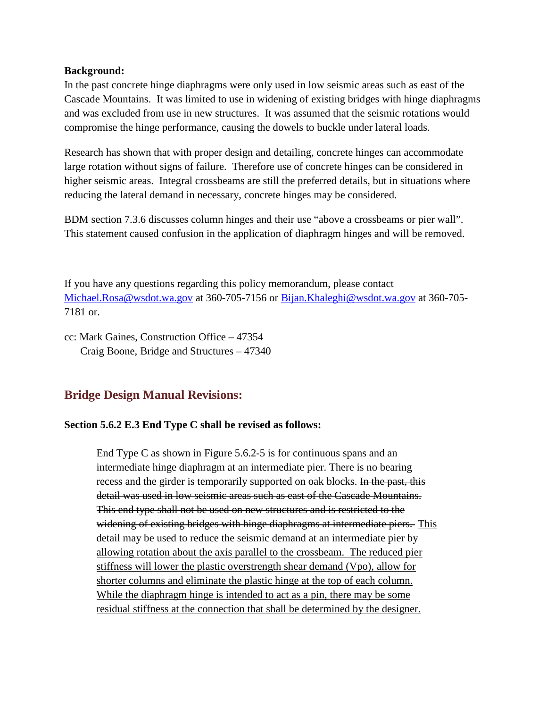### **Background:**

In the past concrete hinge diaphragms were only used in low seismic areas such as east of the Cascade Mountains. It was limited to use in widening of existing bridges with hinge diaphragms and was excluded from use in new structures. It was assumed that the seismic rotations would compromise the hinge performance, causing the dowels to buckle under lateral loads.

Research has shown that with proper design and detailing, concrete hinges can accommodate large rotation without signs of failure. Therefore use of concrete hinges can be considered in higher seismic areas. Integral crossbeams are still the preferred details, but in situations where reducing the lateral demand in necessary, concrete hinges may be considered.

BDM section 7.3.6 discusses column hinges and their use "above a crossbeams or pier wall". This statement caused confusion in the application of diaphragm hinges and will be removed.

If you have any questions regarding this policy memorandum, please contact [Michael.Rosa@wsdot.wa.gov](mailto:Michael.Rosa@wsdot.wa.gov) at 360-705-7156 or [Bijan.Khaleghi@wsdot.wa.gov](mailto:Bijan.Khaleghi@wsdot.wa.gov) at 360-705- 7181 or.

cc: Mark Gaines, Construction Office – 47354 Craig Boone, Bridge and Structures – 47340

# **Bridge Design Manual Revisions:**

### **Section 5.6.2 E.3 End Type C shall be revised as follows:**

End Type C as shown in Figure 5.6.2-5 is for continuous spans and an intermediate hinge diaphragm at an intermediate pier. There is no bearing recess and the girder is temporarily supported on oak blocks. In the past, this detail was used in low seismic areas such as east of the Cascade Mountains. This end type shall not be used on new structures and is restricted to the widening of existing bridges with hinge diaphragms at intermediate piers. This detail may be used to reduce the seismic demand at an intermediate pier by allowing rotation about the axis parallel to the crossbeam. The reduced pier stiffness will lower the plastic overstrength shear demand (Vpo), allow for shorter columns and eliminate the plastic hinge at the top of each column. While the diaphragm hinge is intended to act as a pin, there may be some residual stiffness at the connection that shall be determined by the designer.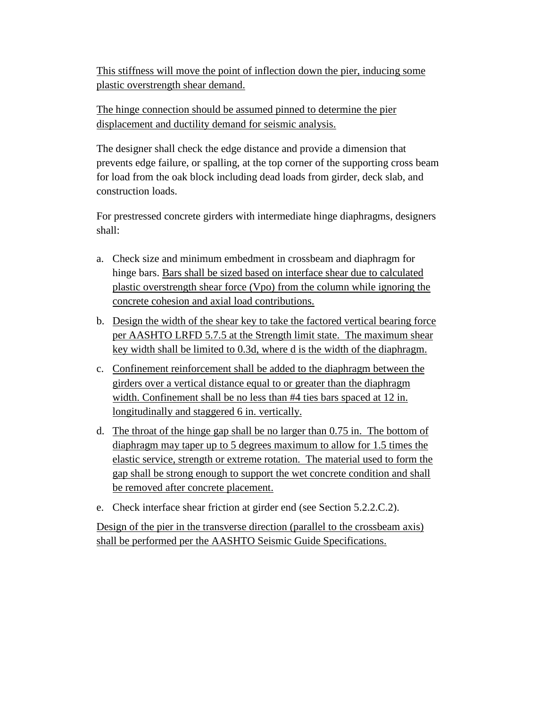This stiffness will move the point of inflection down the pier, inducing some plastic overstrength shear demand.

The hinge connection should be assumed pinned to determine the pier displacement and ductility demand for seismic analysis.

The designer shall check the edge distance and provide a dimension that prevents edge failure, or spalling, at the top corner of the supporting cross beam for load from the oak block including dead loads from girder, deck slab, and construction loads.

For prestressed concrete girders with intermediate hinge diaphragms, designers shall:

- a. Check size and minimum embedment in crossbeam and diaphragm for hinge bars. Bars shall be sized based on interface shear due to calculated plastic overstrength shear force (Vpo) from the column while ignoring the concrete cohesion and axial load contributions.
- b. Design the width of the shear key to take the factored vertical bearing force per AASHTO LRFD 5.7.5 at the Strength limit state. The maximum shear key width shall be limited to 0.3d, where d is the width of the diaphragm.
- c. Confinement reinforcement shall be added to the diaphragm between the girders over a vertical distance equal to or greater than the diaphragm width. Confinement shall be no less than #4 ties bars spaced at 12 in. longitudinally and staggered 6 in. vertically.
- d. The throat of the hinge gap shall be no larger than 0.75 in. The bottom of diaphragm may taper up to 5 degrees maximum to allow for 1.5 times the elastic service, strength or extreme rotation. The material used to form the gap shall be strong enough to support the wet concrete condition and shall be removed after concrete placement.
- e. Check interface shear friction at girder end (see Section 5.2.2.C.2).

Design of the pier in the transverse direction (parallel to the crossbeam axis) shall be performed per the AASHTO Seismic Guide Specifications.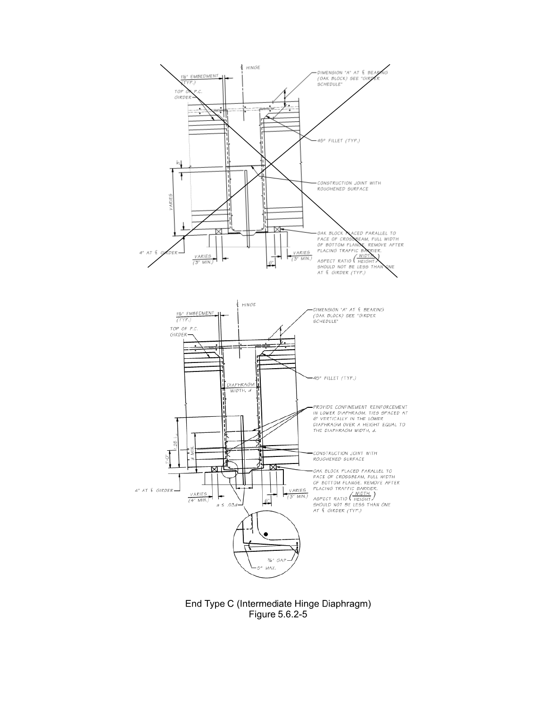

End Type C (Intermediate Hinge Diaphragm) Figure 5.6.2-5